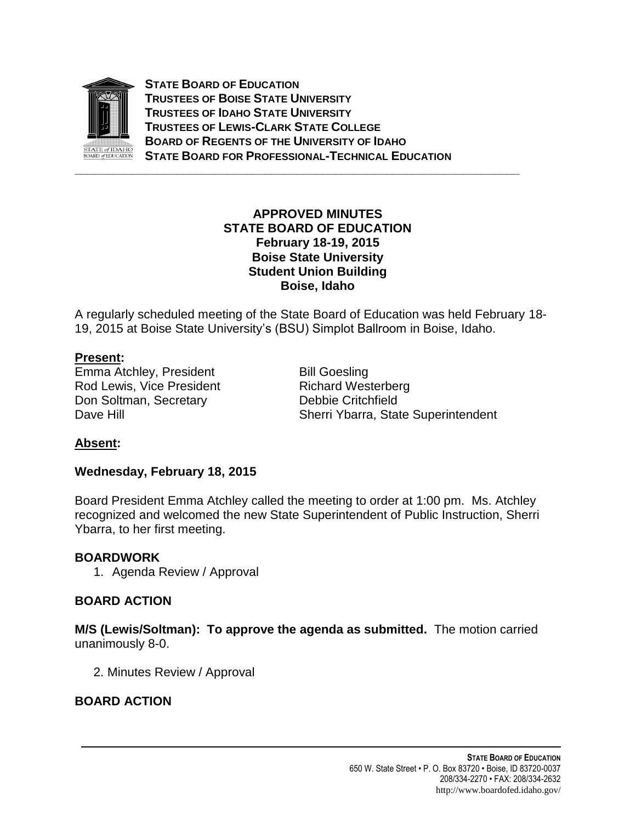

**STATE BOARD OF EDUCATION TRUSTEES OF BOISE STATE UNIVERSITY TRUSTEES OF IDAHO STATE UNIVERSITY TRUSTEES OF LEWIS-CLARK STATE COLLEGE BOARD OF REGENTS OF THE UNIVERSITY OF IDAHO STATE BOARD FOR PROFESSIONAL-TECHNICAL EDUCATION**

### **APPROVED MINUTES STATE BOARD OF EDUCATION February 18-19, 2015 Boise State University Student Union Building Boise, Idaho**

A regularly scheduled meeting of the State Board of Education was held February 18- 19, 2015 at Boise State University's (BSU) Simplot Ballroom in Boise, Idaho.

### **Present:**

Emma Atchley, President Bill Goesling Rod Lewis, Vice President Richard Westerberg Don Soltman, Secretary **Debbie Critchfield** 

Dave Hill **Dave Hill** Sherri Ybarra, State Superintendent

## **Absent:**

#### **Wednesday, February 18, 2015**

Board President Emma Atchley called the meeting to order at 1:00 pm. Ms. Atchley recognized and welcomed the new State Superintendent of Public Instruction, Sherri Ybarra, to her first meeting.

#### **BOARDWORK**

1. Agenda Review / Approval

#### **BOARD ACTION**

**M/S (Lewis/Soltman): To approve the agenda as submitted.** The motion carried unanimously 8-0.

2. Minutes Review / Approval

## **BOARD ACTION**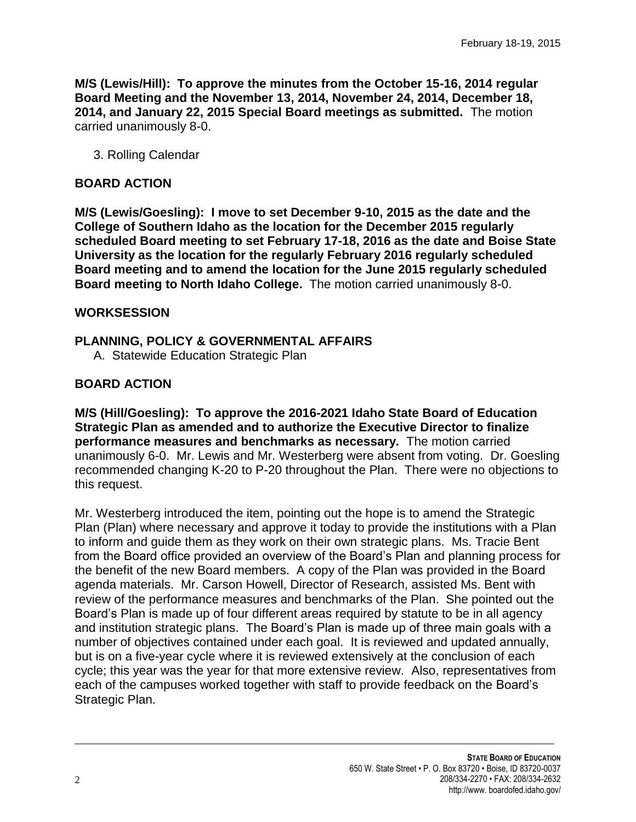**M/S (Lewis/Hill): To approve the minutes from the October 15-16, 2014 regular Board Meeting and the November 13, 2014, November 24, 2014, December 18, 2014, and January 22, 2015 Special Board meetings as submitted.** The motion carried unanimously 8-0.

3. Rolling Calendar

### **BOARD ACTION**

**M/S (Lewis/Goesling): I move to set December 9-10, 2015 as the date and the College of Southern Idaho as the location for the December 2015 regularly scheduled Board meeting to set February 17-18, 2016 as the date and Boise State University as the location for the regularly February 2016 regularly scheduled Board meeting and to amend the location for the June 2015 regularly scheduled Board meeting to North Idaho College.** The motion carried unanimously 8-0.

### **WORKSESSION**

### **PLANNING, POLICY & GOVERNMENTAL AFFAIRS**

A. Statewide Education Strategic Plan

# **BOARD ACTION**

**M/S (Hill/Goesling): To approve the 2016-2021 Idaho State Board of Education Strategic Plan as amended and to authorize the Executive Director to finalize performance measures and benchmarks as necessary.** The motion carried unanimously 6-0. Mr. Lewis and Mr. Westerberg were absent from voting. Dr. Goesling recommended changing K-20 to P-20 throughout the Plan. There were no objections to this request.

Mr. Westerberg introduced the item, pointing out the hope is to amend the Strategic Plan (Plan) where necessary and approve it today to provide the institutions with a Plan to inform and guide them as they work on their own strategic plans. Ms. Tracie Bent from the Board office provided an overview of the Board's Plan and planning process for the benefit of the new Board members. A copy of the Plan was provided in the Board agenda materials. Mr. Carson Howell, Director of Research, assisted Ms. Bent with review of the performance measures and benchmarks of the Plan. She pointed out the Board's Plan is made up of four different areas required by statute to be in all agency and institution strategic plans. The Board's Plan is made up of three main goals with a number of objectives contained under each goal. It is reviewed and updated annually, but is on a five-year cycle where it is reviewed extensively at the conclusion of each cycle; this year was the year for that more extensive review. Also, representatives from each of the campuses worked together with staff to provide feedback on the Board's Strategic Plan.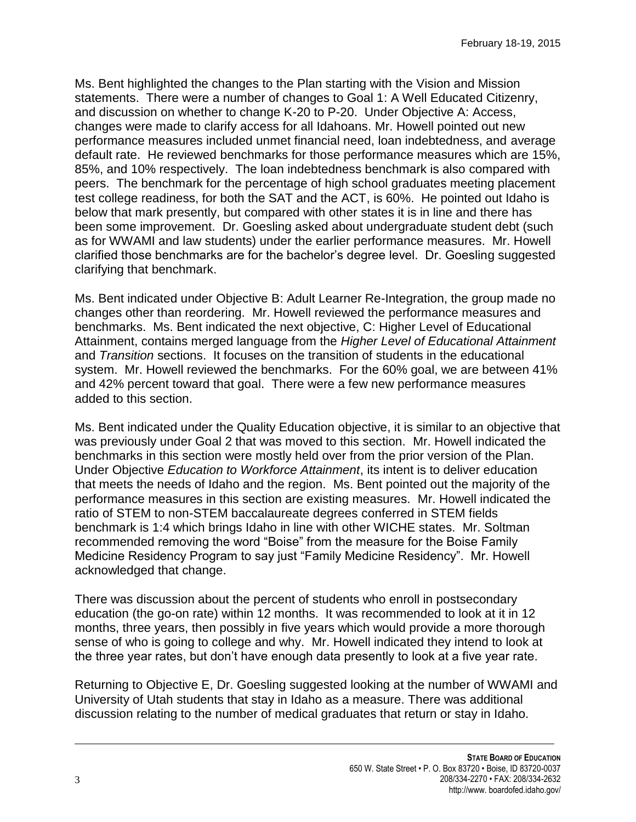Ms. Bent highlighted the changes to the Plan starting with the Vision and Mission statements. There were a number of changes to Goal 1: A Well Educated Citizenry, and discussion on whether to change K-20 to P-20. Under Objective A: Access, changes were made to clarify access for all Idahoans. Mr. Howell pointed out new performance measures included unmet financial need, loan indebtedness, and average default rate. He reviewed benchmarks for those performance measures which are 15%, 85%, and 10% respectively. The loan indebtedness benchmark is also compared with peers. The benchmark for the percentage of high school graduates meeting placement test college readiness, for both the SAT and the ACT, is 60%. He pointed out Idaho is below that mark presently, but compared with other states it is in line and there has been some improvement. Dr. Goesling asked about undergraduate student debt (such as for WWAMI and law students) under the earlier performance measures. Mr. Howell clarified those benchmarks are for the bachelor's degree level. Dr. Goesling suggested clarifying that benchmark.

Ms. Bent indicated under Objective B: Adult Learner Re-Integration, the group made no changes other than reordering. Mr. Howell reviewed the performance measures and benchmarks. Ms. Bent indicated the next objective, C: Higher Level of Educational Attainment, contains merged language from the *Higher Level of Educational Attainment* and *Transition* sections. It focuses on the transition of students in the educational system. Mr. Howell reviewed the benchmarks. For the 60% goal, we are between 41% and 42% percent toward that goal. There were a few new performance measures added to this section.

Ms. Bent indicated under the Quality Education objective, it is similar to an objective that was previously under Goal 2 that was moved to this section. Mr. Howell indicated the benchmarks in this section were mostly held over from the prior version of the Plan. Under Objective *Education to Workforce Attainment*, its intent is to deliver education that meets the needs of Idaho and the region. Ms. Bent pointed out the majority of the performance measures in this section are existing measures. Mr. Howell indicated the ratio of STEM to non-STEM baccalaureate degrees conferred in STEM fields benchmark is 1:4 which brings Idaho in line with other WICHE states. Mr. Soltman recommended removing the word "Boise" from the measure for the Boise Family Medicine Residency Program to say just "Family Medicine Residency". Mr. Howell acknowledged that change.

There was discussion about the percent of students who enroll in postsecondary education (the go-on rate) within 12 months. It was recommended to look at it in 12 months, three years, then possibly in five years which would provide a more thorough sense of who is going to college and why. Mr. Howell indicated they intend to look at the three year rates, but don't have enough data presently to look at a five year rate.

Returning to Objective E, Dr. Goesling suggested looking at the number of WWAMI and University of Utah students that stay in Idaho as a measure. There was additional discussion relating to the number of medical graduates that return or stay in Idaho.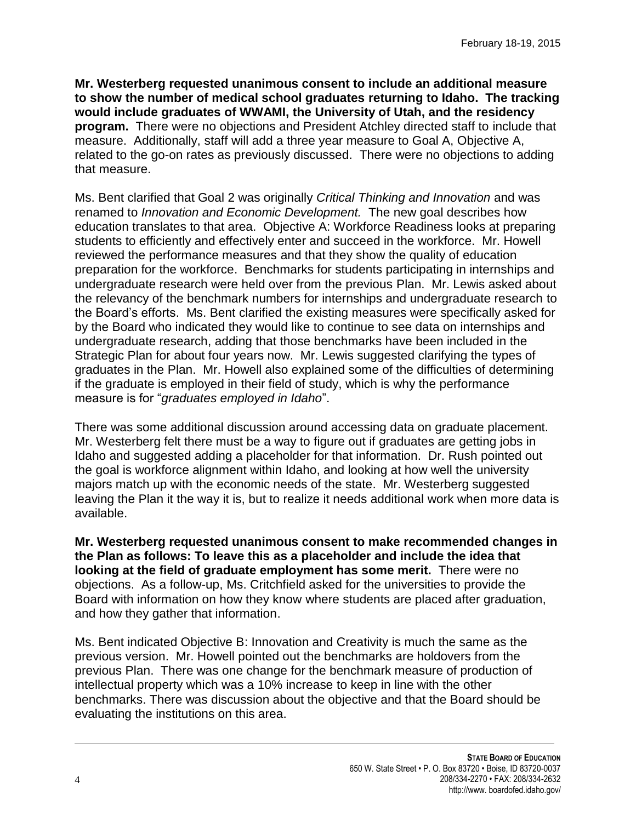**Mr. Westerberg requested unanimous consent to include an additional measure to show the number of medical school graduates returning to Idaho. The tracking would include graduates of WWAMI, the University of Utah, and the residency program.** There were no objections and President Atchley directed staff to include that measure. Additionally, staff will add a three year measure to Goal A, Objective A, related to the go-on rates as previously discussed. There were no objections to adding that measure.

Ms. Bent clarified that Goal 2 was originally *Critical Thinking and Innovation* and was renamed to *Innovation and Economic Development.* The new goal describes how education translates to that area. Objective A: Workforce Readiness looks at preparing students to efficiently and effectively enter and succeed in the workforce. Mr. Howell reviewed the performance measures and that they show the quality of education preparation for the workforce. Benchmarks for students participating in internships and undergraduate research were held over from the previous Plan. Mr. Lewis asked about the relevancy of the benchmark numbers for internships and undergraduate research to the Board's efforts. Ms. Bent clarified the existing measures were specifically asked for by the Board who indicated they would like to continue to see data on internships and undergraduate research, adding that those benchmarks have been included in the Strategic Plan for about four years now. Mr. Lewis suggested clarifying the types of graduates in the Plan. Mr. Howell also explained some of the difficulties of determining if the graduate is employed in their field of study, which is why the performance measure is for "*graduates employed in Idaho*".

There was some additional discussion around accessing data on graduate placement. Mr. Westerberg felt there must be a way to figure out if graduates are getting jobs in Idaho and suggested adding a placeholder for that information. Dr. Rush pointed out the goal is workforce alignment within Idaho, and looking at how well the university majors match up with the economic needs of the state. Mr. Westerberg suggested leaving the Plan it the way it is, but to realize it needs additional work when more data is available.

**Mr. Westerberg requested unanimous consent to make recommended changes in the Plan as follows: To leave this as a placeholder and include the idea that looking at the field of graduate employment has some merit.** There were no objections. As a follow-up, Ms. Critchfield asked for the universities to provide the Board with information on how they know where students are placed after graduation, and how they gather that information.

Ms. Bent indicated Objective B: Innovation and Creativity is much the same as the previous version. Mr. Howell pointed out the benchmarks are holdovers from the previous Plan. There was one change for the benchmark measure of production of intellectual property which was a 10% increase to keep in line with the other benchmarks. There was discussion about the objective and that the Board should be evaluating the institutions on this area.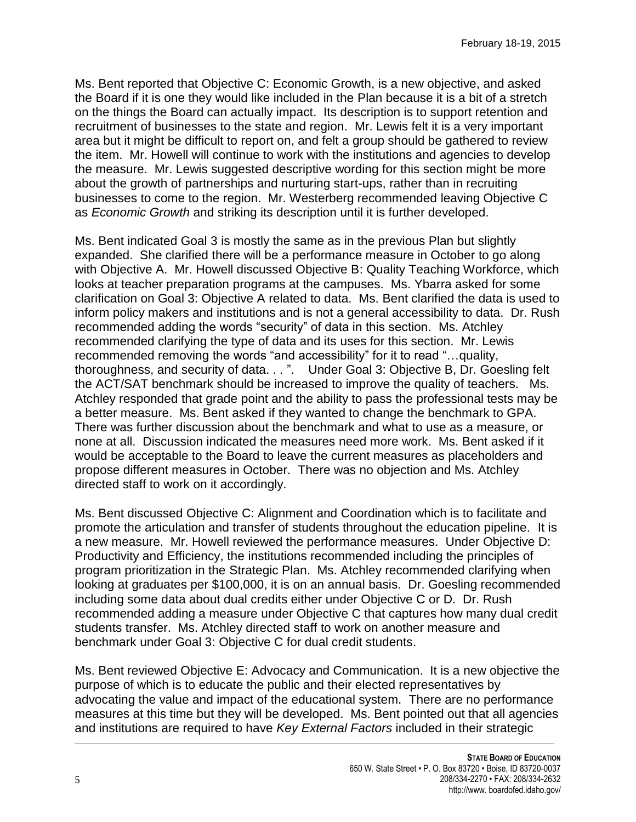Ms. Bent reported that Objective C: Economic Growth, is a new objective, and asked the Board if it is one they would like included in the Plan because it is a bit of a stretch on the things the Board can actually impact. Its description is to support retention and recruitment of businesses to the state and region. Mr. Lewis felt it is a very important area but it might be difficult to report on, and felt a group should be gathered to review the item. Mr. Howell will continue to work with the institutions and agencies to develop the measure. Mr. Lewis suggested descriptive wording for this section might be more about the growth of partnerships and nurturing start-ups, rather than in recruiting businesses to come to the region. Mr. Westerberg recommended leaving Objective C as *Economic Growth* and striking its description until it is further developed.

Ms. Bent indicated Goal 3 is mostly the same as in the previous Plan but slightly expanded. She clarified there will be a performance measure in October to go along with Objective A. Mr. Howell discussed Objective B: Quality Teaching Workforce, which looks at teacher preparation programs at the campuses. Ms. Ybarra asked for some clarification on Goal 3: Objective A related to data. Ms. Bent clarified the data is used to inform policy makers and institutions and is not a general accessibility to data. Dr. Rush recommended adding the words "security" of data in this section. Ms. Atchley recommended clarifying the type of data and its uses for this section. Mr. Lewis recommended removing the words "and accessibility" for it to read "…quality, thoroughness, and security of data. . . ". Under Goal 3: Objective B, Dr. Goesling felt the ACT/SAT benchmark should be increased to improve the quality of teachers. Ms. Atchley responded that grade point and the ability to pass the professional tests may be a better measure. Ms. Bent asked if they wanted to change the benchmark to GPA. There was further discussion about the benchmark and what to use as a measure, or none at all. Discussion indicated the measures need more work. Ms. Bent asked if it would be acceptable to the Board to leave the current measures as placeholders and propose different measures in October. There was no objection and Ms. Atchley directed staff to work on it accordingly.

Ms. Bent discussed Objective C: Alignment and Coordination which is to facilitate and promote the articulation and transfer of students throughout the education pipeline. It is a new measure. Mr. Howell reviewed the performance measures. Under Objective D: Productivity and Efficiency, the institutions recommended including the principles of program prioritization in the Strategic Plan. Ms. Atchley recommended clarifying when looking at graduates per \$100,000, it is on an annual basis. Dr. Goesling recommended including some data about dual credits either under Objective C or D. Dr. Rush recommended adding a measure under Objective C that captures how many dual credit students transfer. Ms. Atchley directed staff to work on another measure and benchmark under Goal 3: Objective C for dual credit students.

Ms. Bent reviewed Objective E: Advocacy and Communication. It is a new objective the purpose of which is to educate the public and their elected representatives by advocating the value and impact of the educational system. There are no performance measures at this time but they will be developed. Ms. Bent pointed out that all agencies and institutions are required to have *Key External Factors* included in their strategic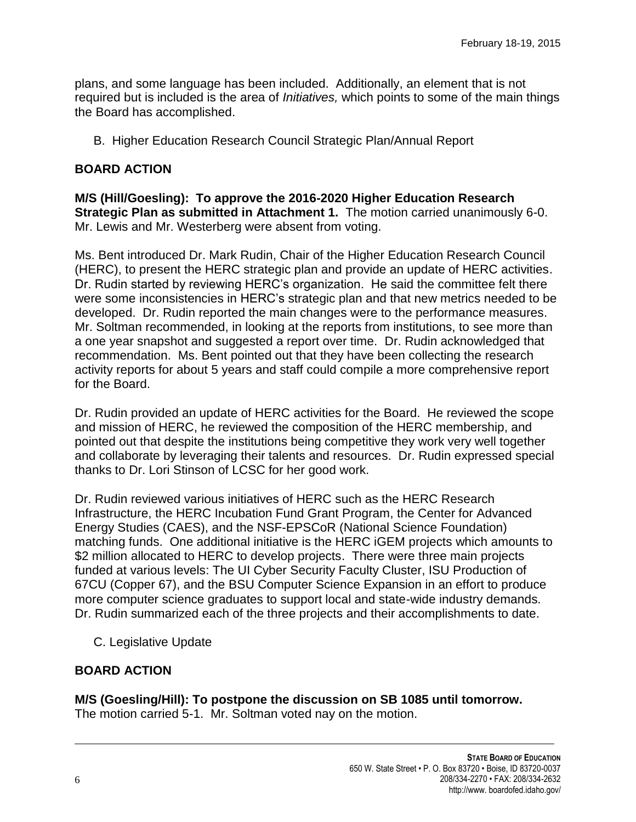plans, and some language has been included. Additionally, an element that is not required but is included is the area of *Initiatives,* which points to some of the main things the Board has accomplished.

B. Higher Education Research Council Strategic Plan/Annual Report

### **BOARD ACTION**

**M/S (Hill/Goesling): To approve the 2016-2020 Higher Education Research Strategic Plan as submitted in Attachment 1.** The motion carried unanimously 6-0. Mr. Lewis and Mr. Westerberg were absent from voting.

Ms. Bent introduced Dr. Mark Rudin, Chair of the Higher Education Research Council (HERC), to present the HERC strategic plan and provide an update of HERC activities. Dr. Rudin started by reviewing HERC's organization. He said the committee felt there were some inconsistencies in HERC's strategic plan and that new metrics needed to be developed. Dr. Rudin reported the main changes were to the performance measures. Mr. Soltman recommended, in looking at the reports from institutions, to see more than a one year snapshot and suggested a report over time. Dr. Rudin acknowledged that recommendation. Ms. Bent pointed out that they have been collecting the research activity reports for about 5 years and staff could compile a more comprehensive report for the Board.

Dr. Rudin provided an update of HERC activities for the Board. He reviewed the scope and mission of HERC, he reviewed the composition of the HERC membership, and pointed out that despite the institutions being competitive they work very well together and collaborate by leveraging their talents and resources. Dr. Rudin expressed special thanks to Dr. Lori Stinson of LCSC for her good work.

Dr. Rudin reviewed various initiatives of HERC such as the HERC Research Infrastructure, the HERC Incubation Fund Grant Program, the Center for Advanced Energy Studies (CAES), and the NSF-EPSCoR (National Science Foundation) matching funds. One additional initiative is the HERC iGEM projects which amounts to \$2 million allocated to HERC to develop projects. There were three main projects funded at various levels: The UI Cyber Security Faculty Cluster, ISU Production of 67CU (Copper 67), and the BSU Computer Science Expansion in an effort to produce more computer science graduates to support local and state-wide industry demands. Dr. Rudin summarized each of the three projects and their accomplishments to date.

C. Legislative Update

## **BOARD ACTION**

**M/S (Goesling/Hill): To postpone the discussion on SB 1085 until tomorrow.**  The motion carried 5-1. Mr. Soltman voted nay on the motion.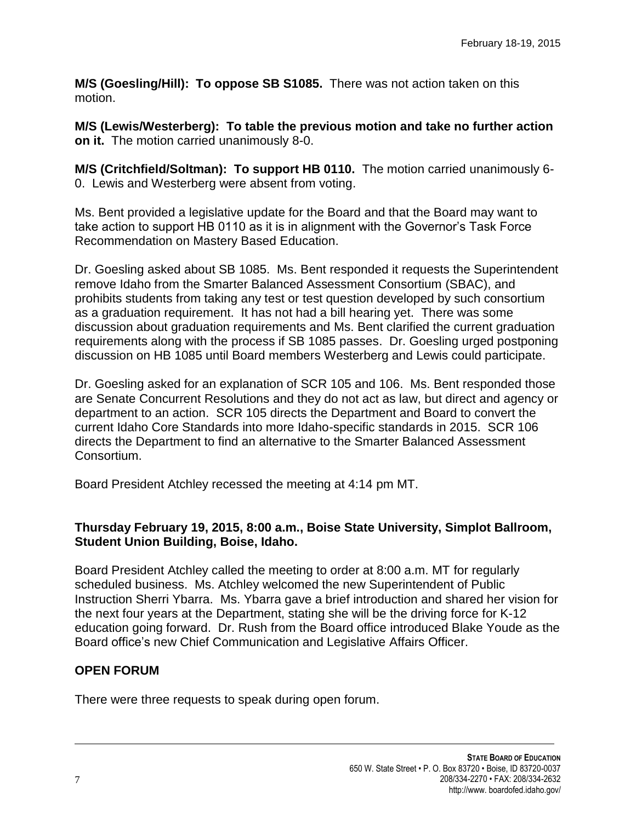**M/S (Goesling/Hill): To oppose SB S1085.** There was not action taken on this motion.

**M/S (Lewis/Westerberg): To table the previous motion and take no further action on it.** The motion carried unanimously 8-0.

**M/S (Critchfield/Soltman): To support HB 0110.** The motion carried unanimously 6- 0. Lewis and Westerberg were absent from voting.

Ms. Bent provided a legislative update for the Board and that the Board may want to take action to support HB 0110 as it is in alignment with the Governor's Task Force Recommendation on Mastery Based Education.

Dr. Goesling asked about SB 1085. Ms. Bent responded it requests the Superintendent remove Idaho from the Smarter Balanced Assessment Consortium (SBAC), and prohibits students from taking any test or test question developed by such consortium as a graduation requirement. It has not had a bill hearing yet. There was some discussion about graduation requirements and Ms. Bent clarified the current graduation requirements along with the process if SB 1085 passes. Dr. Goesling urged postponing discussion on HB 1085 until Board members Westerberg and Lewis could participate.

Dr. Goesling asked for an explanation of SCR 105 and 106. Ms. Bent responded those are Senate Concurrent Resolutions and they do not act as law, but direct and agency or department to an action. SCR 105 directs the Department and Board to convert the current Idaho Core Standards into more Idaho-specific standards in 2015. SCR 106 directs the Department to find an alternative to the Smarter Balanced Assessment Consortium.

Board President Atchley recessed the meeting at 4:14 pm MT.

### **Thursday February 19, 2015, 8:00 a.m., Boise State University, Simplot Ballroom, Student Union Building, Boise, Idaho.**

Board President Atchley called the meeting to order at 8:00 a.m. MT for regularly scheduled business. Ms. Atchley welcomed the new Superintendent of Public Instruction Sherri Ybarra. Ms. Ybarra gave a brief introduction and shared her vision for the next four years at the Department, stating she will be the driving force for K-12 education going forward. Dr. Rush from the Board office introduced Blake Youde as the Board office's new Chief Communication and Legislative Affairs Officer.

## **OPEN FORUM**

There were three requests to speak during open forum.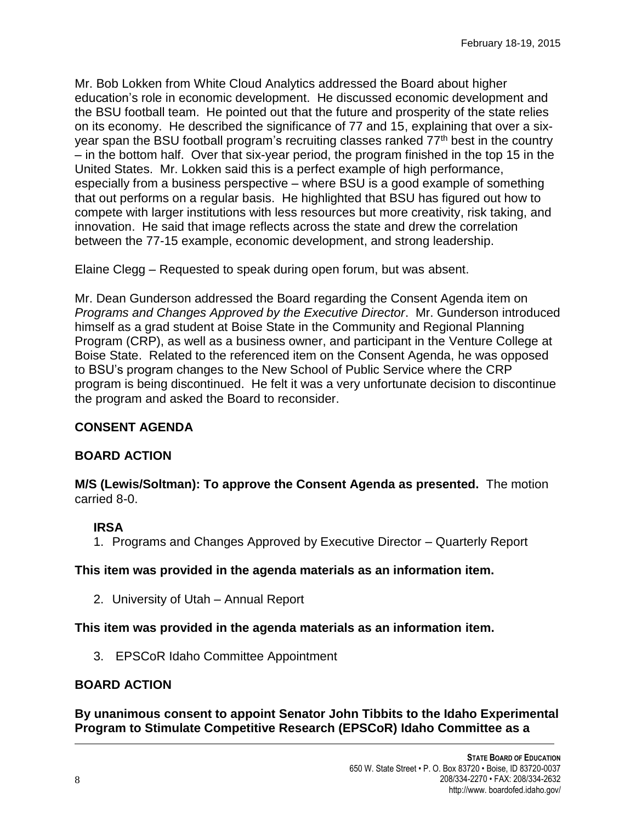Mr. Bob Lokken from White Cloud Analytics addressed the Board about higher education's role in economic development. He discussed economic development and the BSU football team. He pointed out that the future and prosperity of the state relies on its economy. He described the significance of 77 and 15, explaining that over a sixyear span the BSU football program's recruiting classes ranked  $77<sup>th</sup>$  best in the country – in the bottom half. Over that six-year period, the program finished in the top 15 in the United States. Mr. Lokken said this is a perfect example of high performance, especially from a business perspective – where BSU is a good example of something that out performs on a regular basis. He highlighted that BSU has figured out how to compete with larger institutions with less resources but more creativity, risk taking, and innovation. He said that image reflects across the state and drew the correlation between the 77-15 example, economic development, and strong leadership.

Elaine Clegg – Requested to speak during open forum, but was absent.

Mr. Dean Gunderson addressed the Board regarding the Consent Agenda item on *Programs and Changes Approved by the Executive Director*. Mr. Gunderson introduced himself as a grad student at Boise State in the Community and Regional Planning Program (CRP), as well as a business owner, and participant in the Venture College at Boise State. Related to the referenced item on the Consent Agenda, he was opposed to BSU's program changes to the New School of Public Service where the CRP program is being discontinued. He felt it was a very unfortunate decision to discontinue the program and asked the Board to reconsider.

#### **CONSENT AGENDA**

#### **BOARD ACTION**

**M/S (Lewis/Soltman): To approve the Consent Agenda as presented.** The motion carried 8-0.

## **IRSA**

1. Programs and Changes Approved by Executive Director – Quarterly Report

#### **This item was provided in the agenda materials as an information item.**

2. University of Utah – Annual Report

#### **This item was provided in the agenda materials as an information item.**

3. EPSCoR Idaho Committee Appointment

### **BOARD ACTION**

**By unanimous consent to appoint Senator John Tibbits to the Idaho Experimental Program to Stimulate Competitive Research (EPSCoR) Idaho Committee as a**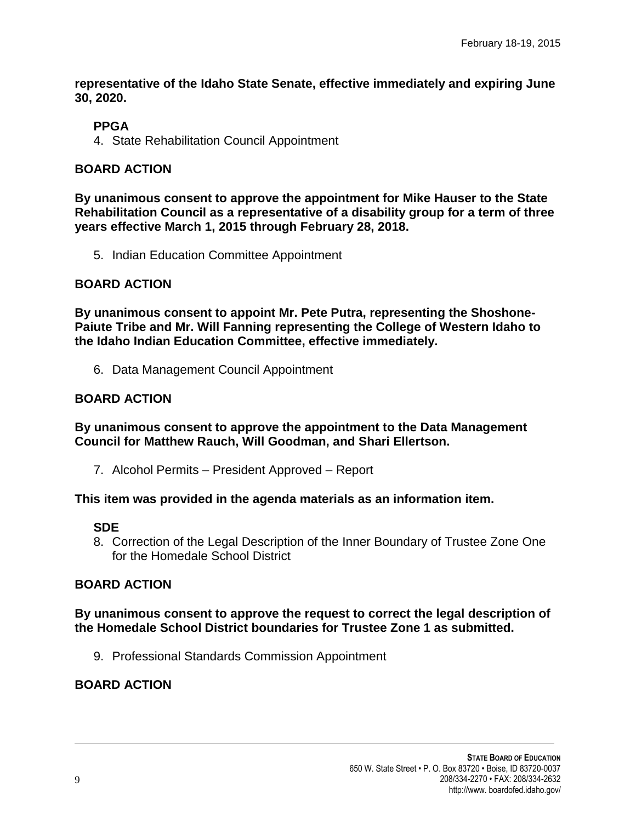**representative of the Idaho State Senate, effective immediately and expiring June 30, 2020.**

## **PPGA**

4. State Rehabilitation Council Appointment

### **BOARD ACTION**

**By unanimous consent to approve the appointment for Mike Hauser to the State Rehabilitation Council as a representative of a disability group for a term of three years effective March 1, 2015 through February 28, 2018.**

5. Indian Education Committee Appointment

### **BOARD ACTION**

**By unanimous consent to appoint Mr. Pete Putra, representing the Shoshone-Paiute Tribe and Mr. Will Fanning representing the College of Western Idaho to the Idaho Indian Education Committee, effective immediately.**

6. Data Management Council Appointment

## **BOARD ACTION**

**By unanimous consent to approve the appointment to the Data Management Council for Matthew Rauch, Will Goodman, and Shari Ellertson.**

7. Alcohol Permits – President Approved – Report

**This item was provided in the agenda materials as an information item.** 

#### **SDE**

8. Correction of the Legal Description of the Inner Boundary of Trustee Zone One for the Homedale School District

#### **BOARD ACTION**

#### **By unanimous consent to approve the request to correct the legal description of the Homedale School District boundaries for Trustee Zone 1 as submitted.**

9. Professional Standards Commission Appointment

# **BOARD ACTION**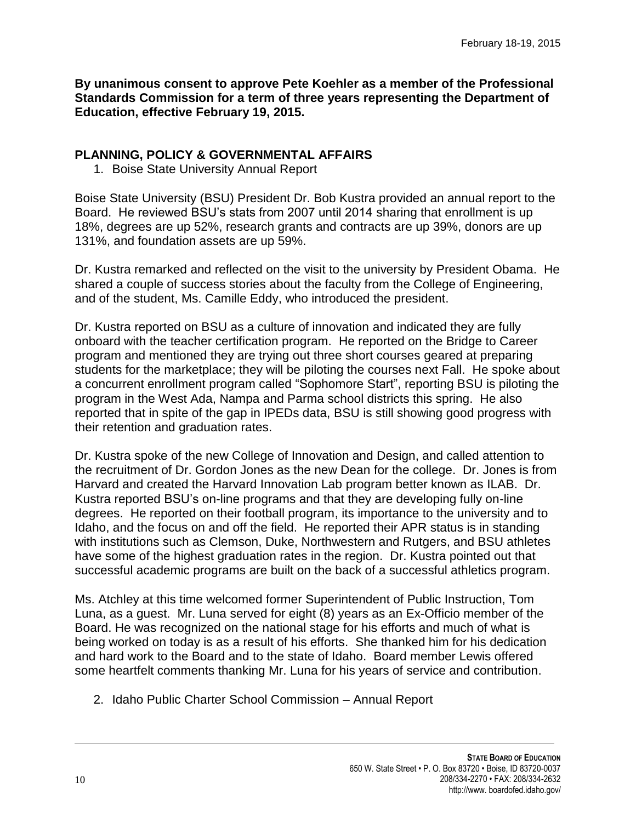**By unanimous consent to approve Pete Koehler as a member of the Professional Standards Commission for a term of three years representing the Department of Education, effective February 19, 2015.**

### **PLANNING, POLICY & GOVERNMENTAL AFFAIRS**

1. Boise State University Annual Report

Boise State University (BSU) President Dr. Bob Kustra provided an annual report to the Board. He reviewed BSU's stats from 2007 until 2014 sharing that enrollment is up 18%, degrees are up 52%, research grants and contracts are up 39%, donors are up 131%, and foundation assets are up 59%.

Dr. Kustra remarked and reflected on the visit to the university by President Obama. He shared a couple of success stories about the faculty from the College of Engineering, and of the student, Ms. Camille Eddy, who introduced the president.

Dr. Kustra reported on BSU as a culture of innovation and indicated they are fully onboard with the teacher certification program. He reported on the Bridge to Career program and mentioned they are trying out three short courses geared at preparing students for the marketplace; they will be piloting the courses next Fall. He spoke about a concurrent enrollment program called "Sophomore Start", reporting BSU is piloting the program in the West Ada, Nampa and Parma school districts this spring. He also reported that in spite of the gap in IPEDs data, BSU is still showing good progress with their retention and graduation rates.

Dr. Kustra spoke of the new College of Innovation and Design, and called attention to the recruitment of Dr. Gordon Jones as the new Dean for the college. Dr. Jones is from Harvard and created the Harvard Innovation Lab program better known as ILAB. Dr. Kustra reported BSU's on-line programs and that they are developing fully on-line degrees. He reported on their football program, its importance to the university and to Idaho, and the focus on and off the field. He reported their APR status is in standing with institutions such as Clemson, Duke, Northwestern and Rutgers, and BSU athletes have some of the highest graduation rates in the region. Dr. Kustra pointed out that successful academic programs are built on the back of a successful athletics program.

Ms. Atchley at this time welcomed former Superintendent of Public Instruction, Tom Luna, as a guest. Mr. Luna served for eight (8) years as an Ex-Officio member of the Board. He was recognized on the national stage for his efforts and much of what is being worked on today is as a result of his efforts. She thanked him for his dedication and hard work to the Board and to the state of Idaho. Board member Lewis offered some heartfelt comments thanking Mr. Luna for his years of service and contribution.

2. Idaho Public Charter School Commission – Annual Report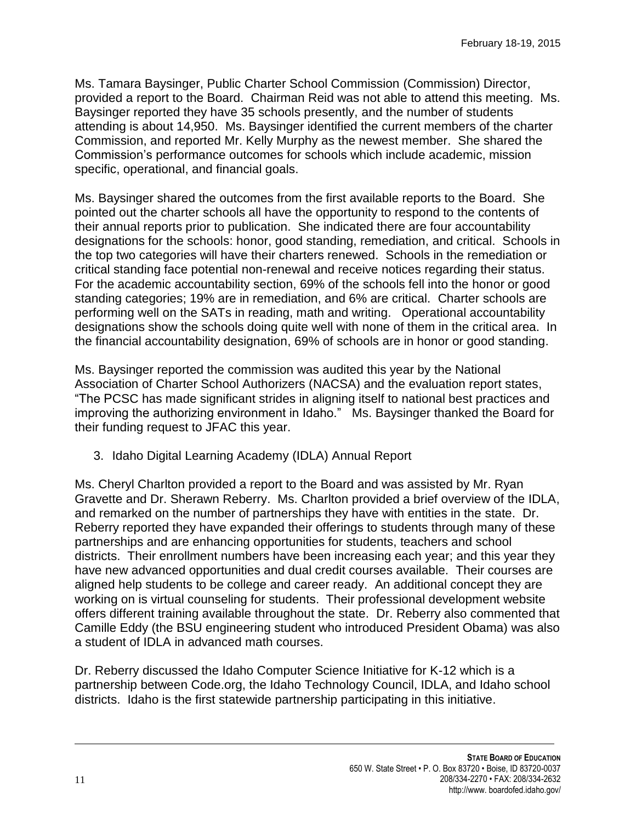Ms. Tamara Baysinger, Public Charter School Commission (Commission) Director, provided a report to the Board. Chairman Reid was not able to attend this meeting. Ms. Baysinger reported they have 35 schools presently, and the number of students attending is about 14,950. Ms. Baysinger identified the current members of the charter Commission, and reported Mr. Kelly Murphy as the newest member. She shared the Commission's performance outcomes for schools which include academic, mission specific, operational, and financial goals.

Ms. Baysinger shared the outcomes from the first available reports to the Board. She pointed out the charter schools all have the opportunity to respond to the contents of their annual reports prior to publication. She indicated there are four accountability designations for the schools: honor, good standing, remediation, and critical. Schools in the top two categories will have their charters renewed. Schools in the remediation or critical standing face potential non-renewal and receive notices regarding their status. For the academic accountability section, 69% of the schools fell into the honor or good standing categories; 19% are in remediation, and 6% are critical. Charter schools are performing well on the SATs in reading, math and writing. Operational accountability designations show the schools doing quite well with none of them in the critical area. In the financial accountability designation, 69% of schools are in honor or good standing.

Ms. Baysinger reported the commission was audited this year by the National Association of Charter School Authorizers (NACSA) and the evaluation report states, "The PCSC has made significant strides in aligning itself to national best practices and improving the authorizing environment in Idaho." Ms. Baysinger thanked the Board for their funding request to JFAC this year.

3. Idaho Digital Learning Academy (IDLA) Annual Report

Ms. Cheryl Charlton provided a report to the Board and was assisted by Mr. Ryan Gravette and Dr. Sherawn Reberry. Ms. Charlton provided a brief overview of the IDLA, and remarked on the number of partnerships they have with entities in the state. Dr. Reberry reported they have expanded their offerings to students through many of these partnerships and are enhancing opportunities for students, teachers and school districts. Their enrollment numbers have been increasing each year; and this year they have new advanced opportunities and dual credit courses available. Their courses are aligned help students to be college and career ready. An additional concept they are working on is virtual counseling for students. Their professional development website offers different training available throughout the state. Dr. Reberry also commented that Camille Eddy (the BSU engineering student who introduced President Obama) was also a student of IDLA in advanced math courses.

Dr. Reberry discussed the Idaho Computer Science Initiative for K-12 which is a partnership between Code.org, the Idaho Technology Council, IDLA, and Idaho school districts. Idaho is the first statewide partnership participating in this initiative.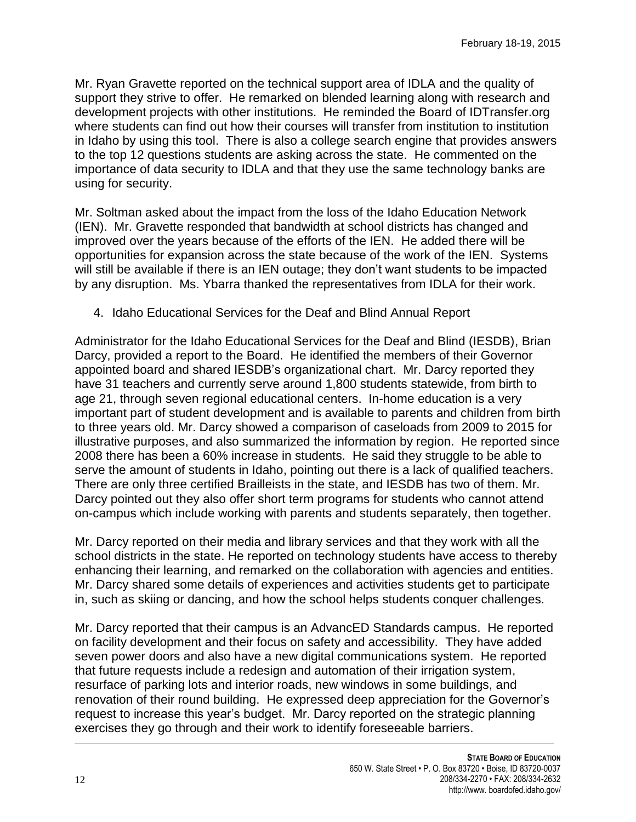Mr. Ryan Gravette reported on the technical support area of IDLA and the quality of support they strive to offer. He remarked on blended learning along with research and development projects with other institutions. He reminded the Board of IDTransfer.org where students can find out how their courses will transfer from institution to institution in Idaho by using this tool. There is also a college search engine that provides answers to the top 12 questions students are asking across the state. He commented on the importance of data security to IDLA and that they use the same technology banks are using for security.

Mr. Soltman asked about the impact from the loss of the Idaho Education Network (IEN). Mr. Gravette responded that bandwidth at school districts has changed and improved over the years because of the efforts of the IEN. He added there will be opportunities for expansion across the state because of the work of the IEN. Systems will still be available if there is an IEN outage; they don't want students to be impacted by any disruption. Ms. Ybarra thanked the representatives from IDLA for their work.

4. Idaho Educational Services for the Deaf and Blind Annual Report

Administrator for the Idaho Educational Services for the Deaf and Blind (IESDB), Brian Darcy, provided a report to the Board. He identified the members of their Governor appointed board and shared IESDB's organizational chart. Mr. Darcy reported they have 31 teachers and currently serve around 1,800 students statewide, from birth to age 21, through seven regional educational centers. In-home education is a very important part of student development and is available to parents and children from birth to three years old. Mr. Darcy showed a comparison of caseloads from 2009 to 2015 for illustrative purposes, and also summarized the information by region. He reported since 2008 there has been a 60% increase in students. He said they struggle to be able to serve the amount of students in Idaho, pointing out there is a lack of qualified teachers. There are only three certified Brailleists in the state, and IESDB has two of them. Mr. Darcy pointed out they also offer short term programs for students who cannot attend on-campus which include working with parents and students separately, then together.

Mr. Darcy reported on their media and library services and that they work with all the school districts in the state. He reported on technology students have access to thereby enhancing their learning, and remarked on the collaboration with agencies and entities. Mr. Darcy shared some details of experiences and activities students get to participate in, such as skiing or dancing, and how the school helps students conquer challenges.

Mr. Darcy reported that their campus is an AdvancED Standards campus. He reported on facility development and their focus on safety and accessibility. They have added seven power doors and also have a new digital communications system. He reported that future requests include a redesign and automation of their irrigation system, resurface of parking lots and interior roads, new windows in some buildings, and renovation of their round building. He expressed deep appreciation for the Governor's request to increase this year's budget. Mr. Darcy reported on the strategic planning exercises they go through and their work to identify foreseeable barriers.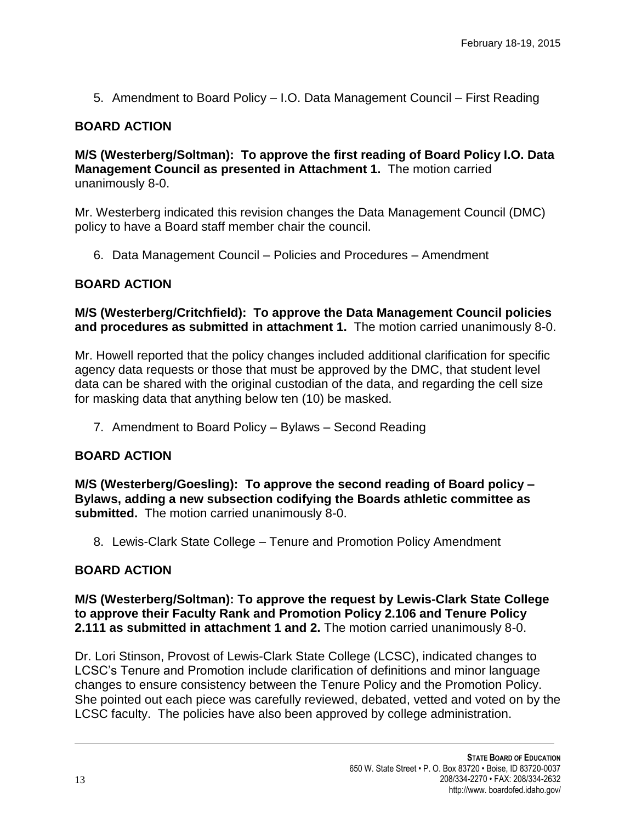5. Amendment to Board Policy – I.O. Data Management Council – First Reading

## **BOARD ACTION**

**M/S (Westerberg/Soltman): To approve the first reading of Board Policy I.O. Data Management Council as presented in Attachment 1.** The motion carried unanimously 8-0.

Mr. Westerberg indicated this revision changes the Data Management Council (DMC) policy to have a Board staff member chair the council.

6. Data Management Council – Policies and Procedures – Amendment

### **BOARD ACTION**

**M/S (Westerberg/Critchfield): To approve the Data Management Council policies and procedures as submitted in attachment 1.** The motion carried unanimously 8-0.

Mr. Howell reported that the policy changes included additional clarification for specific agency data requests or those that must be approved by the DMC, that student level data can be shared with the original custodian of the data, and regarding the cell size for masking data that anything below ten (10) be masked.

7. Amendment to Board Policy – Bylaws – Second Reading

#### **BOARD ACTION**

**M/S (Westerberg/Goesling): To approve the second reading of Board policy – Bylaws, adding a new subsection codifying the Boards athletic committee as submitted.** The motion carried unanimously 8-0.

8. Lewis-Clark State College – Tenure and Promotion Policy Amendment

## **BOARD ACTION**

**M/S (Westerberg/Soltman): To approve the request by Lewis-Clark State College to approve their Faculty Rank and Promotion Policy 2.106 and Tenure Policy 2.111 as submitted in attachment 1 and 2.** The motion carried unanimously 8-0.

Dr. Lori Stinson, Provost of Lewis-Clark State College (LCSC), indicated changes to LCSC's Tenure and Promotion include clarification of definitions and minor language changes to ensure consistency between the Tenure Policy and the Promotion Policy. She pointed out each piece was carefully reviewed, debated, vetted and voted on by the LCSC faculty. The policies have also been approved by college administration.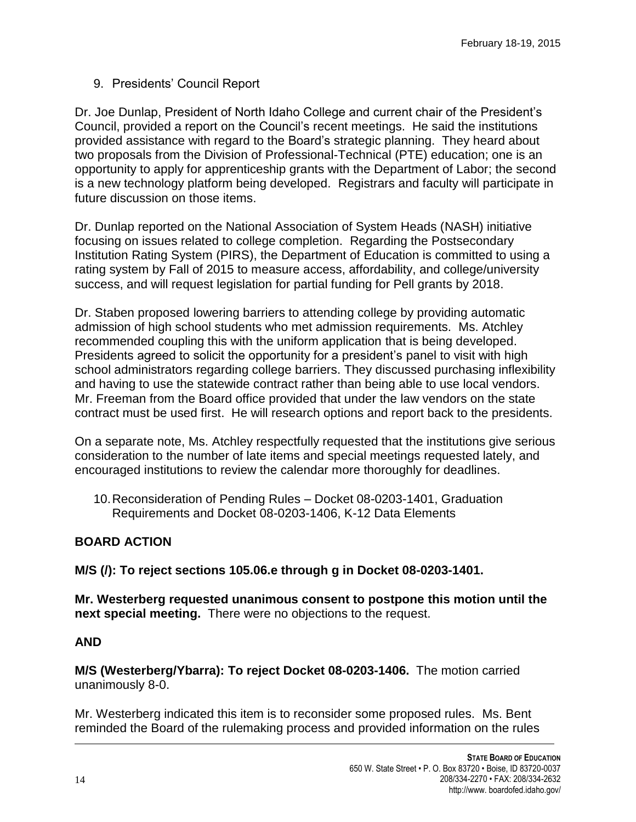## 9. Presidents' Council Report

Dr. Joe Dunlap, President of North Idaho College and current chair of the President's Council, provided a report on the Council's recent meetings. He said the institutions provided assistance with regard to the Board's strategic planning. They heard about two proposals from the Division of Professional-Technical (PTE) education; one is an opportunity to apply for apprenticeship grants with the Department of Labor; the second is a new technology platform being developed. Registrars and faculty will participate in future discussion on those items.

Dr. Dunlap reported on the National Association of System Heads (NASH) initiative focusing on issues related to college completion. Regarding the Postsecondary Institution Rating System (PIRS), the Department of Education is committed to using a rating system by Fall of 2015 to measure access, affordability, and college/university success, and will request legislation for partial funding for Pell grants by 2018.

Dr. Staben proposed lowering barriers to attending college by providing automatic admission of high school students who met admission requirements. Ms. Atchley recommended coupling this with the uniform application that is being developed. Presidents agreed to solicit the opportunity for a president's panel to visit with high school administrators regarding college barriers. They discussed purchasing inflexibility and having to use the statewide contract rather than being able to use local vendors. Mr. Freeman from the Board office provided that under the law vendors on the state contract must be used first. He will research options and report back to the presidents.

On a separate note, Ms. Atchley respectfully requested that the institutions give serious consideration to the number of late items and special meetings requested lately, and encouraged institutions to review the calendar more thoroughly for deadlines.

10.Reconsideration of Pending Rules – Docket 08-0203-1401, Graduation Requirements and Docket 08-0203-1406, K-12 Data Elements

## **BOARD ACTION**

**M/S (/): To reject sections 105.06.e through g in Docket 08-0203-1401.** 

**Mr. Westerberg requested unanimous consent to postpone this motion until the next special meeting.** There were no objections to the request.

## **AND**

**M/S (Westerberg/Ybarra): To reject Docket 08-0203-1406.** The motion carried unanimously 8-0.

Mr. Westerberg indicated this item is to reconsider some proposed rules. Ms. Bent reminded the Board of the rulemaking process and provided information on the rules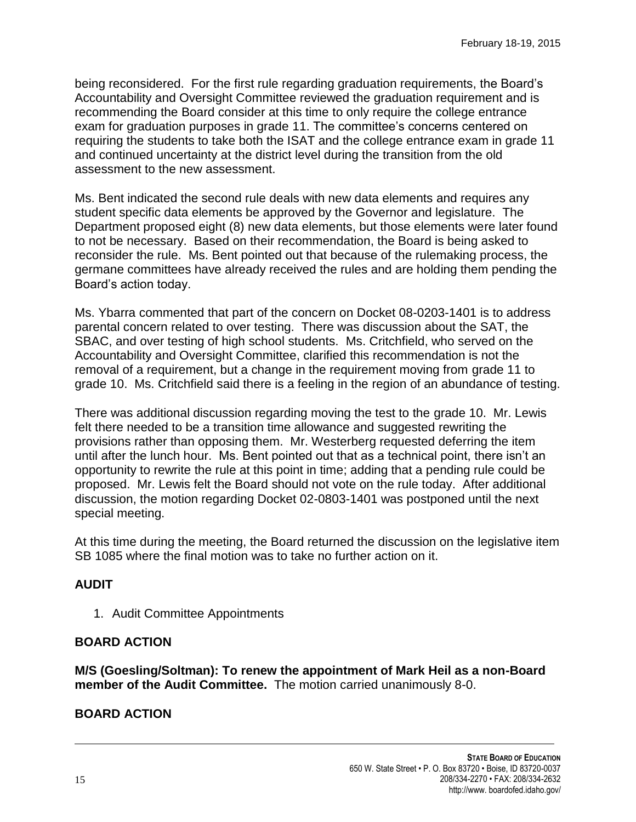being reconsidered. For the first rule regarding graduation requirements, the Board's Accountability and Oversight Committee reviewed the graduation requirement and is recommending the Board consider at this time to only require the college entrance exam for graduation purposes in grade 11. The committee's concerns centered on requiring the students to take both the ISAT and the college entrance exam in grade 11 and continued uncertainty at the district level during the transition from the old assessment to the new assessment.

Ms. Bent indicated the second rule deals with new data elements and requires any student specific data elements be approved by the Governor and legislature. The Department proposed eight (8) new data elements, but those elements were later found to not be necessary. Based on their recommendation, the Board is being asked to reconsider the rule. Ms. Bent pointed out that because of the rulemaking process, the germane committees have already received the rules and are holding them pending the Board's action today.

Ms. Ybarra commented that part of the concern on Docket 08-0203-1401 is to address parental concern related to over testing. There was discussion about the SAT, the SBAC, and over testing of high school students. Ms. Critchfield, who served on the Accountability and Oversight Committee, clarified this recommendation is not the removal of a requirement, but a change in the requirement moving from grade 11 to grade 10. Ms. Critchfield said there is a feeling in the region of an abundance of testing.

There was additional discussion regarding moving the test to the grade 10. Mr. Lewis felt there needed to be a transition time allowance and suggested rewriting the provisions rather than opposing them. Mr. Westerberg requested deferring the item until after the lunch hour. Ms. Bent pointed out that as a technical point, there isn't an opportunity to rewrite the rule at this point in time; adding that a pending rule could be proposed. Mr. Lewis felt the Board should not vote on the rule today. After additional discussion, the motion regarding Docket 02-0803-1401 was postponed until the next special meeting.

At this time during the meeting, the Board returned the discussion on the legislative item SB 1085 where the final motion was to take no further action on it.

## **AUDIT**

1. Audit Committee Appointments

## **BOARD ACTION**

**M/S (Goesling/Soltman): To renew the appointment of Mark Heil as a non-Board member of the Audit Committee.** The motion carried unanimously 8-0.

# **BOARD ACTION**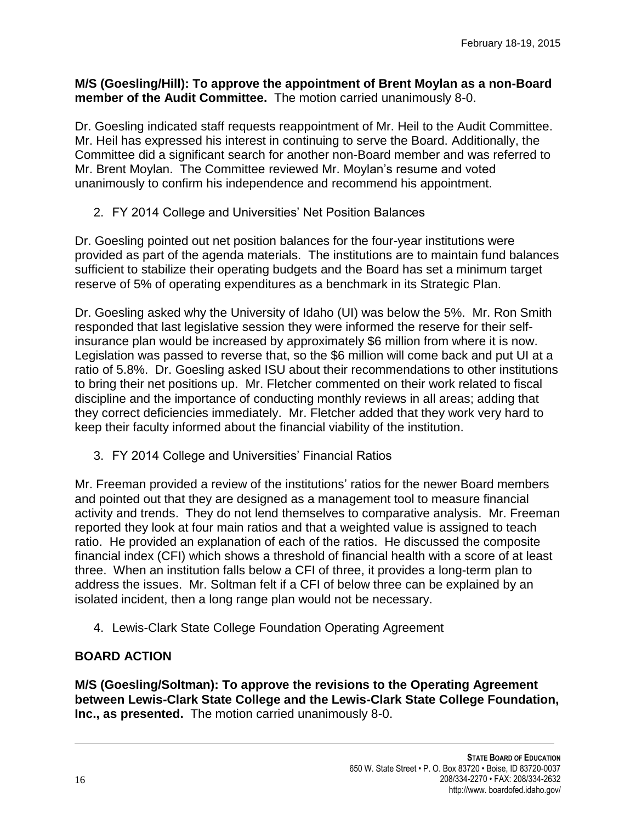#### **M/S (Goesling/Hill): To approve the appointment of Brent Moylan as a non-Board member of the Audit Committee.** The motion carried unanimously 8-0.

Dr. Goesling indicated staff requests reappointment of Mr. Heil to the Audit Committee. Mr. Heil has expressed his interest in continuing to serve the Board. Additionally, the Committee did a significant search for another non-Board member and was referred to Mr. Brent Moylan. The Committee reviewed Mr. Moylan's resume and voted unanimously to confirm his independence and recommend his appointment.

2. FY 2014 College and Universities' Net Position Balances

Dr. Goesling pointed out net position balances for the four-year institutions were provided as part of the agenda materials. The institutions are to maintain fund balances sufficient to stabilize their operating budgets and the Board has set a minimum target reserve of 5% of operating expenditures as a benchmark in its Strategic Plan.

Dr. Goesling asked why the University of Idaho (UI) was below the 5%. Mr. Ron Smith responded that last legislative session they were informed the reserve for their selfinsurance plan would be increased by approximately \$6 million from where it is now. Legislation was passed to reverse that, so the \$6 million will come back and put UI at a ratio of 5.8%. Dr. Goesling asked ISU about their recommendations to other institutions to bring their net positions up. Mr. Fletcher commented on their work related to fiscal discipline and the importance of conducting monthly reviews in all areas; adding that they correct deficiencies immediately. Mr. Fletcher added that they work very hard to keep their faculty informed about the financial viability of the institution.

3. FY 2014 College and Universities' Financial Ratios

Mr. Freeman provided a review of the institutions' ratios for the newer Board members and pointed out that they are designed as a management tool to measure financial activity and trends. They do not lend themselves to comparative analysis. Mr. Freeman reported they look at four main ratios and that a weighted value is assigned to teach ratio. He provided an explanation of each of the ratios. He discussed the composite financial index (CFI) which shows a threshold of financial health with a score of at least three. When an institution falls below a CFI of three, it provides a long-term plan to address the issues. Mr. Soltman felt if a CFI of below three can be explained by an isolated incident, then a long range plan would not be necessary.

4. Lewis-Clark State College Foundation Operating Agreement

## **BOARD ACTION**

**M/S (Goesling/Soltman): To approve the revisions to the Operating Agreement between Lewis-Clark State College and the Lewis-Clark State College Foundation, Inc., as presented.** The motion carried unanimously 8-0.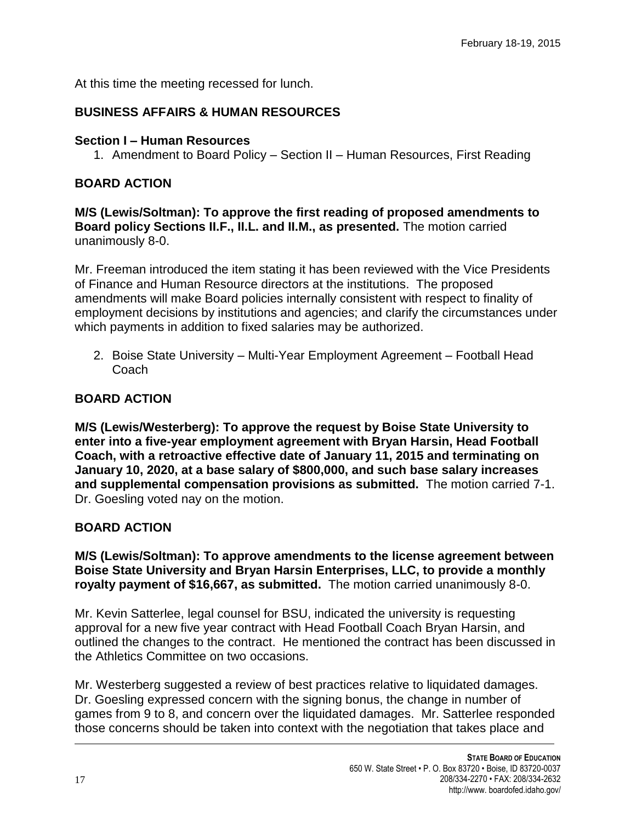At this time the meeting recessed for lunch.

# **BUSINESS AFFAIRS & HUMAN RESOURCES**

### **Section I – Human Resources**

1. Amendment to Board Policy – Section II – Human Resources, First Reading

### **BOARD ACTION**

**M/S (Lewis/Soltman): To approve the first reading of proposed amendments to Board policy Sections II.F., II.L. and II.M., as presented.** The motion carried unanimously 8-0.

Mr. Freeman introduced the item stating it has been reviewed with the Vice Presidents of Finance and Human Resource directors at the institutions. The proposed amendments will make Board policies internally consistent with respect to finality of employment decisions by institutions and agencies; and clarify the circumstances under which payments in addition to fixed salaries may be authorized.

2. Boise State University – Multi-Year Employment Agreement – Football Head Coach

## **BOARD ACTION**

**M/S (Lewis/Westerberg): To approve the request by Boise State University to enter into a five-year employment agreement with Bryan Harsin, Head Football Coach, with a retroactive effective date of January 11, 2015 and terminating on January 10, 2020, at a base salary of \$800,000, and such base salary increases and supplemental compensation provisions as submitted.** The motion carried 7-1. Dr. Goesling voted nay on the motion.

## **BOARD ACTION**

**M/S (Lewis/Soltman): To approve amendments to the license agreement between Boise State University and Bryan Harsin Enterprises, LLC, to provide a monthly royalty payment of \$16,667, as submitted.** The motion carried unanimously 8-0.

Mr. Kevin Satterlee, legal counsel for BSU, indicated the university is requesting approval for a new five year contract with Head Football Coach Bryan Harsin, and outlined the changes to the contract. He mentioned the contract has been discussed in the Athletics Committee on two occasions.

Mr. Westerberg suggested a review of best practices relative to liquidated damages. Dr. Goesling expressed concern with the signing bonus, the change in number of games from 9 to 8, and concern over the liquidated damages. Mr. Satterlee responded those concerns should be taken into context with the negotiation that takes place and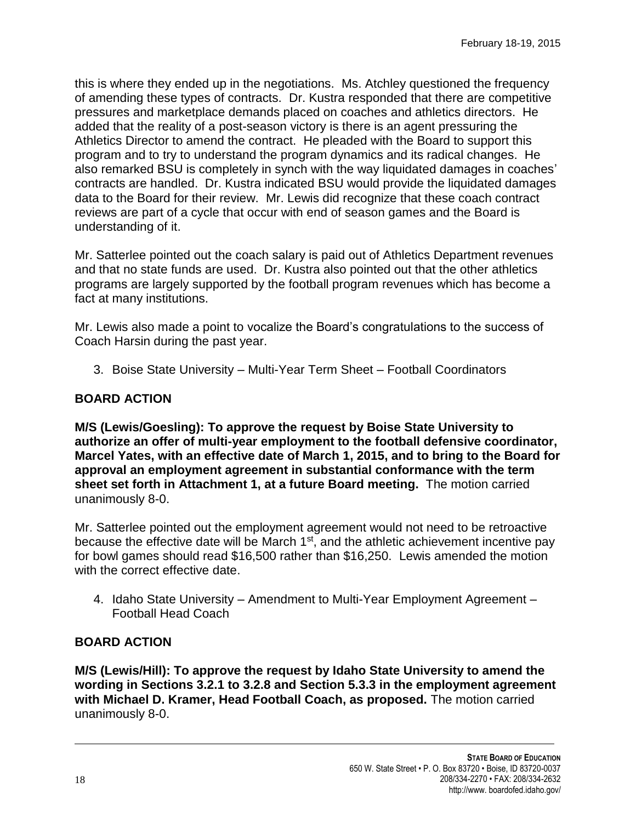this is where they ended up in the negotiations. Ms. Atchley questioned the frequency of amending these types of contracts. Dr. Kustra responded that there are competitive pressures and marketplace demands placed on coaches and athletics directors. He added that the reality of a post-season victory is there is an agent pressuring the Athletics Director to amend the contract. He pleaded with the Board to support this program and to try to understand the program dynamics and its radical changes. He also remarked BSU is completely in synch with the way liquidated damages in coaches' contracts are handled. Dr. Kustra indicated BSU would provide the liquidated damages data to the Board for their review. Mr. Lewis did recognize that these coach contract reviews are part of a cycle that occur with end of season games and the Board is understanding of it.

Mr. Satterlee pointed out the coach salary is paid out of Athletics Department revenues and that no state funds are used. Dr. Kustra also pointed out that the other athletics programs are largely supported by the football program revenues which has become a fact at many institutions.

Mr. Lewis also made a point to vocalize the Board's congratulations to the success of Coach Harsin during the past year.

3. Boise State University – Multi-Year Term Sheet – Football Coordinators

## **BOARD ACTION**

**M/S (Lewis/Goesling): To approve the request by Boise State University to authorize an offer of multi-year employment to the football defensive coordinator, Marcel Yates, with an effective date of March 1, 2015, and to bring to the Board for approval an employment agreement in substantial conformance with the term sheet set forth in Attachment 1, at a future Board meeting.** The motion carried unanimously 8-0.

Mr. Satterlee pointed out the employment agreement would not need to be retroactive because the effective date will be March 1<sup>st</sup>, and the athletic achievement incentive pay for bowl games should read \$16,500 rather than \$16,250. Lewis amended the motion with the correct effective date.

4. Idaho State University – Amendment to Multi-Year Employment Agreement – Football Head Coach

## **BOARD ACTION**

**M/S (Lewis/Hill): To approve the request by Idaho State University to amend the wording in Sections 3.2.1 to 3.2.8 and Section 5.3.3 in the employment agreement with Michael D. Kramer, Head Football Coach, as proposed.** The motion carried unanimously 8-0.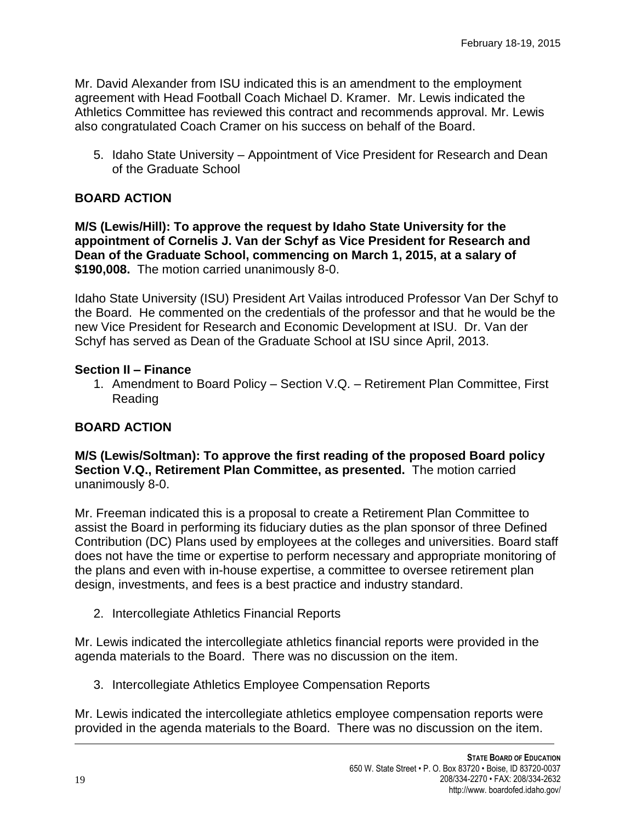Mr. David Alexander from ISU indicated this is an amendment to the employment agreement with Head Football Coach Michael D. Kramer. Mr. Lewis indicated the Athletics Committee has reviewed this contract and recommends approval. Mr. Lewis also congratulated Coach Cramer on his success on behalf of the Board.

5. Idaho State University – Appointment of Vice President for Research and Dean of the Graduate School

### **BOARD ACTION**

**M/S (Lewis/Hill): To approve the request by Idaho State University for the appointment of Cornelis J. Van der Schyf as Vice President for Research and Dean of the Graduate School, commencing on March 1, 2015, at a salary of \$190,008.** The motion carried unanimously 8-0.

Idaho State University (ISU) President Art Vailas introduced Professor Van Der Schyf to the Board. He commented on the credentials of the professor and that he would be the new Vice President for Research and Economic Development at ISU. Dr. Van der Schyf has served as Dean of the Graduate School at ISU since April, 2013.

#### **Section II – Finance**

1. Amendment to Board Policy – Section V.Q. – Retirement Plan Committee, First Reading

#### **BOARD ACTION**

**M/S (Lewis/Soltman): To approve the first reading of the proposed Board policy Section V.Q., Retirement Plan Committee, as presented.** The motion carried unanimously 8-0.

Mr. Freeman indicated this is a proposal to create a Retirement Plan Committee to assist the Board in performing its fiduciary duties as the plan sponsor of three Defined Contribution (DC) Plans used by employees at the colleges and universities. Board staff does not have the time or expertise to perform necessary and appropriate monitoring of the plans and even with in-house expertise, a committee to oversee retirement plan design, investments, and fees is a best practice and industry standard.

2. Intercollegiate Athletics Financial Reports

Mr. Lewis indicated the intercollegiate athletics financial reports were provided in the agenda materials to the Board. There was no discussion on the item.

3. Intercollegiate Athletics Employee Compensation Reports

Mr. Lewis indicated the intercollegiate athletics employee compensation reports were provided in the agenda materials to the Board. There was no discussion on the item.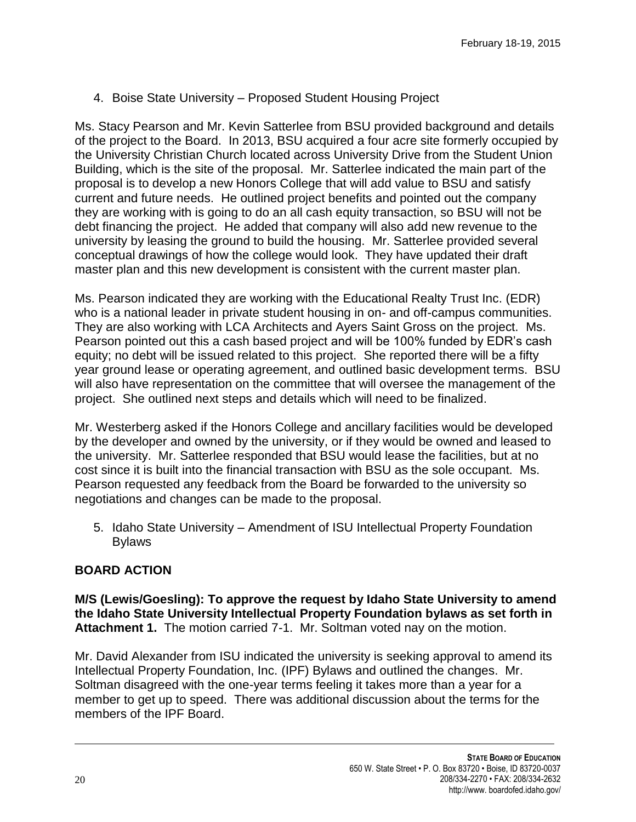4. Boise State University – Proposed Student Housing Project

Ms. Stacy Pearson and Mr. Kevin Satterlee from BSU provided background and details of the project to the Board. In 2013, BSU acquired a four acre site formerly occupied by the University Christian Church located across University Drive from the Student Union Building, which is the site of the proposal. Mr. Satterlee indicated the main part of the proposal is to develop a new Honors College that will add value to BSU and satisfy current and future needs. He outlined project benefits and pointed out the company they are working with is going to do an all cash equity transaction, so BSU will not be debt financing the project. He added that company will also add new revenue to the university by leasing the ground to build the housing. Mr. Satterlee provided several conceptual drawings of how the college would look. They have updated their draft master plan and this new development is consistent with the current master plan.

Ms. Pearson indicated they are working with the Educational Realty Trust Inc. (EDR) who is a national leader in private student housing in on- and off-campus communities. They are also working with LCA Architects and Ayers Saint Gross on the project. Ms. Pearson pointed out this a cash based project and will be 100% funded by EDR's cash equity; no debt will be issued related to this project. She reported there will be a fifty year ground lease or operating agreement, and outlined basic development terms. BSU will also have representation on the committee that will oversee the management of the project. She outlined next steps and details which will need to be finalized.

Mr. Westerberg asked if the Honors College and ancillary facilities would be developed by the developer and owned by the university, or if they would be owned and leased to the university. Mr. Satterlee responded that BSU would lease the facilities, but at no cost since it is built into the financial transaction with BSU as the sole occupant. Ms. Pearson requested any feedback from the Board be forwarded to the university so negotiations and changes can be made to the proposal.

5. Idaho State University – Amendment of ISU Intellectual Property Foundation Bylaws

## **BOARD ACTION**

**M/S (Lewis/Goesling): To approve the request by Idaho State University to amend the Idaho State University Intellectual Property Foundation bylaws as set forth in Attachment 1.** The motion carried 7-1. Mr. Soltman voted nay on the motion.

Mr. David Alexander from ISU indicated the university is seeking approval to amend its Intellectual Property Foundation, Inc. (IPF) Bylaws and outlined the changes. Mr. Soltman disagreed with the one-year terms feeling it takes more than a year for a member to get up to speed. There was additional discussion about the terms for the members of the IPF Board.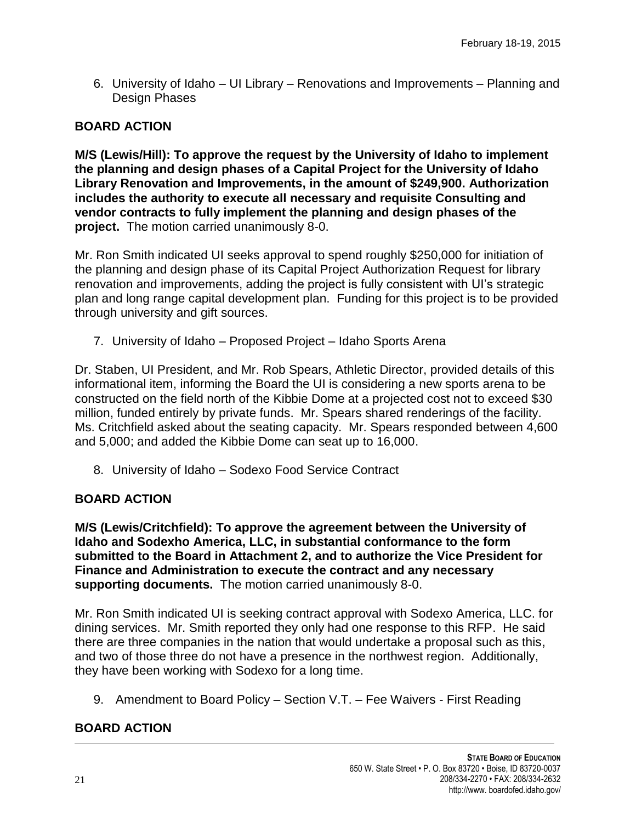6. University of Idaho – UI Library – Renovations and Improvements – Planning and Design Phases

### **BOARD ACTION**

**M/S (Lewis/Hill): To approve the request by the University of Idaho to implement the planning and design phases of a Capital Project for the University of Idaho Library Renovation and Improvements, in the amount of \$249,900. Authorization includes the authority to execute all necessary and requisite Consulting and vendor contracts to fully implement the planning and design phases of the project.** The motion carried unanimously 8-0.

Mr. Ron Smith indicated UI seeks approval to spend roughly \$250,000 for initiation of the planning and design phase of its Capital Project Authorization Request for library renovation and improvements, adding the project is fully consistent with UI's strategic plan and long range capital development plan. Funding for this project is to be provided through university and gift sources.

7. University of Idaho – Proposed Project – Idaho Sports Arena

Dr. Staben, UI President, and Mr. Rob Spears, Athletic Director, provided details of this informational item, informing the Board the UI is considering a new sports arena to be constructed on the field north of the Kibbie Dome at a projected cost not to exceed \$30 million, funded entirely by private funds. Mr. Spears shared renderings of the facility. Ms. Critchfield asked about the seating capacity. Mr. Spears responded between 4,600 and 5,000; and added the Kibbie Dome can seat up to 16,000.

8. University of Idaho – Sodexo Food Service Contract

## **BOARD ACTION**

**M/S (Lewis/Critchfield): To approve the agreement between the University of Idaho and Sodexho America, LLC, in substantial conformance to the form submitted to the Board in Attachment 2, and to authorize the Vice President for Finance and Administration to execute the contract and any necessary supporting documents.** The motion carried unanimously 8-0.

Mr. Ron Smith indicated UI is seeking contract approval with Sodexo America, LLC. for dining services. Mr. Smith reported they only had one response to this RFP. He said there are three companies in the nation that would undertake a proposal such as this, and two of those three do not have a presence in the northwest region. Additionally, they have been working with Sodexo for a long time.

9. Amendment to Board Policy – Section V.T. – Fee Waivers - First Reading

## **BOARD ACTION**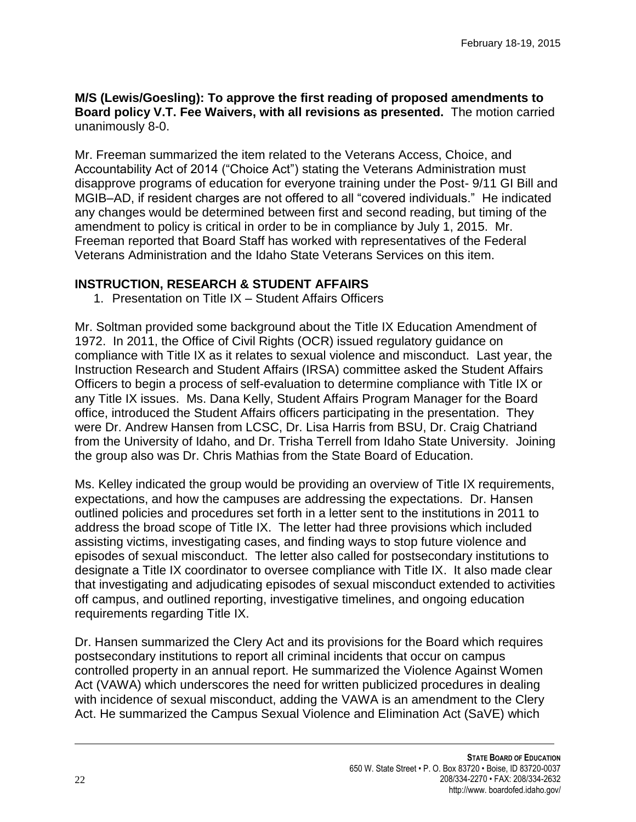#### **M/S (Lewis/Goesling): To approve the first reading of proposed amendments to Board policy V.T. Fee Waivers, with all revisions as presented.** The motion carried unanimously 8-0.

Mr. Freeman summarized the item related to the Veterans Access, Choice, and Accountability Act of 2014 ("Choice Act") stating the Veterans Administration must disapprove programs of education for everyone training under the Post- 9/11 GI Bill and MGIB–AD, if resident charges are not offered to all "covered individuals." He indicated any changes would be determined between first and second reading, but timing of the amendment to policy is critical in order to be in compliance by July 1, 2015. Mr. Freeman reported that Board Staff has worked with representatives of the Federal Veterans Administration and the Idaho State Veterans Services on this item.

# **INSTRUCTION, RESEARCH & STUDENT AFFAIRS**

1. Presentation on Title IX – Student Affairs Officers

Mr. Soltman provided some background about the Title IX Education Amendment of 1972. In 2011, the Office of Civil Rights (OCR) issued regulatory guidance on compliance with Title IX as it relates to sexual violence and misconduct. Last year, the Instruction Research and Student Affairs (IRSA) committee asked the Student Affairs Officers to begin a process of self-evaluation to determine compliance with Title IX or any Title IX issues. Ms. Dana Kelly, Student Affairs Program Manager for the Board office, introduced the Student Affairs officers participating in the presentation. They were Dr. Andrew Hansen from LCSC, Dr. Lisa Harris from BSU, Dr. Craig Chatriand from the University of Idaho, and Dr. Trisha Terrell from Idaho State University. Joining the group also was Dr. Chris Mathias from the State Board of Education.

Ms. Kelley indicated the group would be providing an overview of Title IX requirements, expectations, and how the campuses are addressing the expectations. Dr. Hansen outlined policies and procedures set forth in a letter sent to the institutions in 2011 to address the broad scope of Title IX. The letter had three provisions which included assisting victims, investigating cases, and finding ways to stop future violence and episodes of sexual misconduct. The letter also called for postsecondary institutions to designate a Title IX coordinator to oversee compliance with Title IX. It also made clear that investigating and adjudicating episodes of sexual misconduct extended to activities off campus, and outlined reporting, investigative timelines, and ongoing education requirements regarding Title IX.

Dr. Hansen summarized the Clery Act and its provisions for the Board which requires postsecondary institutions to report all criminal incidents that occur on campus controlled property in an annual report. He summarized the Violence Against Women Act (VAWA) which underscores the need for written publicized procedures in dealing with incidence of sexual misconduct, adding the VAWA is an amendment to the Clery Act. He summarized the Campus Sexual Violence and Elimination Act (SaVE) which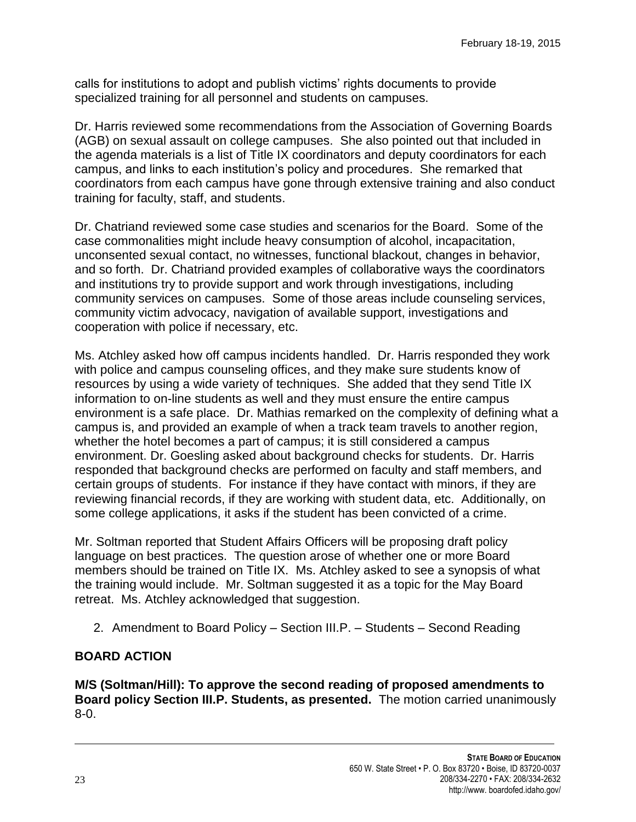calls for institutions to adopt and publish victims' rights documents to provide specialized training for all personnel and students on campuses.

Dr. Harris reviewed some recommendations from the Association of Governing Boards (AGB) on sexual assault on college campuses. She also pointed out that included in the agenda materials is a list of Title IX coordinators and deputy coordinators for each campus, and links to each institution's policy and procedures. She remarked that coordinators from each campus have gone through extensive training and also conduct training for faculty, staff, and students.

Dr. Chatriand reviewed some case studies and scenarios for the Board. Some of the case commonalities might include heavy consumption of alcohol, incapacitation, unconsented sexual contact, no witnesses, functional blackout, changes in behavior, and so forth. Dr. Chatriand provided examples of collaborative ways the coordinators and institutions try to provide support and work through investigations, including community services on campuses. Some of those areas include counseling services, community victim advocacy, navigation of available support, investigations and cooperation with police if necessary, etc.

Ms. Atchley asked how off campus incidents handled. Dr. Harris responded they work with police and campus counseling offices, and they make sure students know of resources by using a wide variety of techniques. She added that they send Title IX information to on-line students as well and they must ensure the entire campus environment is a safe place. Dr. Mathias remarked on the complexity of defining what a campus is, and provided an example of when a track team travels to another region, whether the hotel becomes a part of campus; it is still considered a campus environment. Dr. Goesling asked about background checks for students. Dr. Harris responded that background checks are performed on faculty and staff members, and certain groups of students. For instance if they have contact with minors, if they are reviewing financial records, if they are working with student data, etc. Additionally, on some college applications, it asks if the student has been convicted of a crime.

Mr. Soltman reported that Student Affairs Officers will be proposing draft policy language on best practices. The question arose of whether one or more Board members should be trained on Title IX. Ms. Atchley asked to see a synopsis of what the training would include. Mr. Soltman suggested it as a topic for the May Board retreat. Ms. Atchley acknowledged that suggestion.

2. Amendment to Board Policy – Section III.P. – Students – Second Reading

## **BOARD ACTION**

**M/S (Soltman/Hill): To approve the second reading of proposed amendments to Board policy Section III.P. Students, as presented.** The motion carried unanimously 8-0.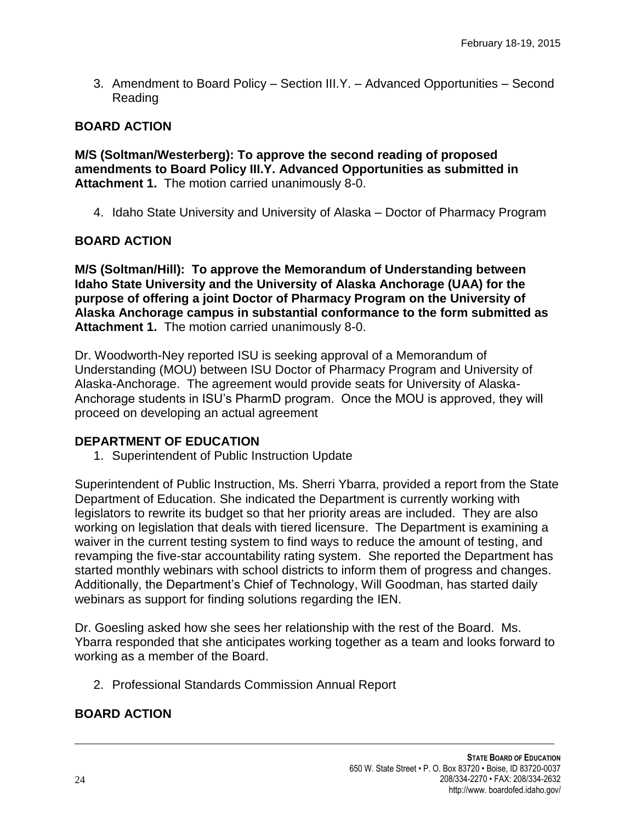3. Amendment to Board Policy – Section III.Y. – Advanced Opportunities – Second Reading

### **BOARD ACTION**

**M/S (Soltman/Westerberg): To approve the second reading of proposed amendments to Board Policy III.Y. Advanced Opportunities as submitted in Attachment 1.** The motion carried unanimously 8-0.

4. Idaho State University and University of Alaska – Doctor of Pharmacy Program

#### **BOARD ACTION**

**M/S (Soltman/Hill): To approve the Memorandum of Understanding between Idaho State University and the University of Alaska Anchorage (UAA) for the purpose of offering a joint Doctor of Pharmacy Program on the University of Alaska Anchorage campus in substantial conformance to the form submitted as Attachment 1.** The motion carried unanimously 8-0.

Dr. Woodworth-Ney reported ISU is seeking approval of a Memorandum of Understanding (MOU) between ISU Doctor of Pharmacy Program and University of Alaska-Anchorage. The agreement would provide seats for University of Alaska-Anchorage students in ISU's PharmD program. Once the MOU is approved, they will proceed on developing an actual agreement

#### **DEPARTMENT OF EDUCATION**

1. Superintendent of Public Instruction Update

Superintendent of Public Instruction, Ms. Sherri Ybarra, provided a report from the State Department of Education. She indicated the Department is currently working with legislators to rewrite its budget so that her priority areas are included. They are also working on legislation that deals with tiered licensure. The Department is examining a waiver in the current testing system to find ways to reduce the amount of testing, and revamping the five-star accountability rating system. She reported the Department has started monthly webinars with school districts to inform them of progress and changes. Additionally, the Department's Chief of Technology, Will Goodman, has started daily webinars as support for finding solutions regarding the IEN.

Dr. Goesling asked how she sees her relationship with the rest of the Board. Ms. Ybarra responded that she anticipates working together as a team and looks forward to working as a member of the Board.

2. Professional Standards Commission Annual Report

## **BOARD ACTION**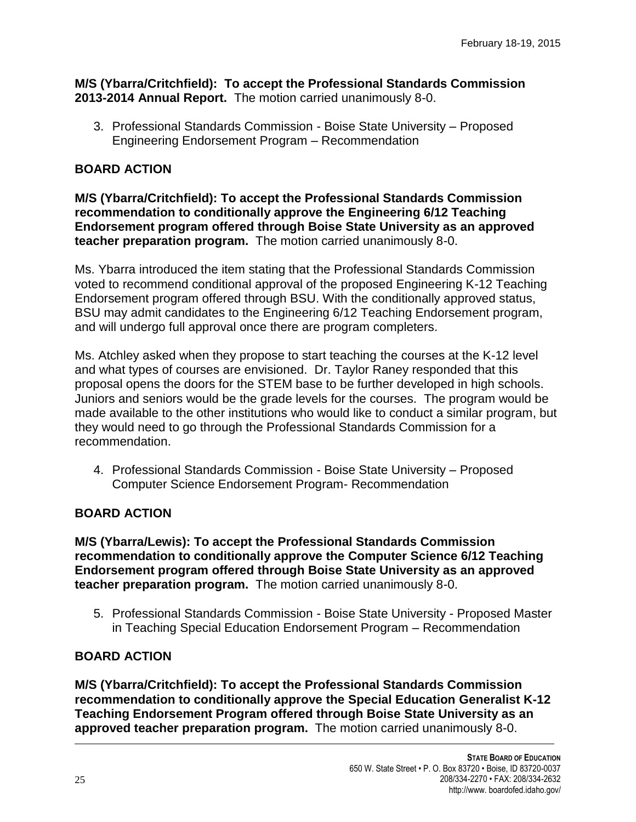#### **M/S (Ybarra/Critchfield): To accept the Professional Standards Commission 2013-2014 Annual Report.** The motion carried unanimously 8-0.

3. Professional Standards Commission - Boise State University – Proposed Engineering Endorsement Program – Recommendation

# **BOARD ACTION**

**M/S (Ybarra/Critchfield): To accept the Professional Standards Commission recommendation to conditionally approve the Engineering 6/12 Teaching Endorsement program offered through Boise State University as an approved teacher preparation program.** The motion carried unanimously 8-0.

Ms. Ybarra introduced the item stating that the Professional Standards Commission voted to recommend conditional approval of the proposed Engineering K-12 Teaching Endorsement program offered through BSU. With the conditionally approved status, BSU may admit candidates to the Engineering 6/12 Teaching Endorsement program, and will undergo full approval once there are program completers.

Ms. Atchley asked when they propose to start teaching the courses at the K-12 level and what types of courses are envisioned. Dr. Taylor Raney responded that this proposal opens the doors for the STEM base to be further developed in high schools. Juniors and seniors would be the grade levels for the courses. The program would be made available to the other institutions who would like to conduct a similar program, but they would need to go through the Professional Standards Commission for a recommendation.

4. Professional Standards Commission - Boise State University – Proposed Computer Science Endorsement Program- Recommendation

## **BOARD ACTION**

**M/S (Ybarra/Lewis): To accept the Professional Standards Commission recommendation to conditionally approve the Computer Science 6/12 Teaching Endorsement program offered through Boise State University as an approved teacher preparation program.** The motion carried unanimously 8-0.

5. Professional Standards Commission - Boise State University - Proposed Master in Teaching Special Education Endorsement Program – Recommendation

## **BOARD ACTION**

**M/S (Ybarra/Critchfield): To accept the Professional Standards Commission recommendation to conditionally approve the Special Education Generalist K-12 Teaching Endorsement Program offered through Boise State University as an approved teacher preparation program.** The motion carried unanimously 8-0.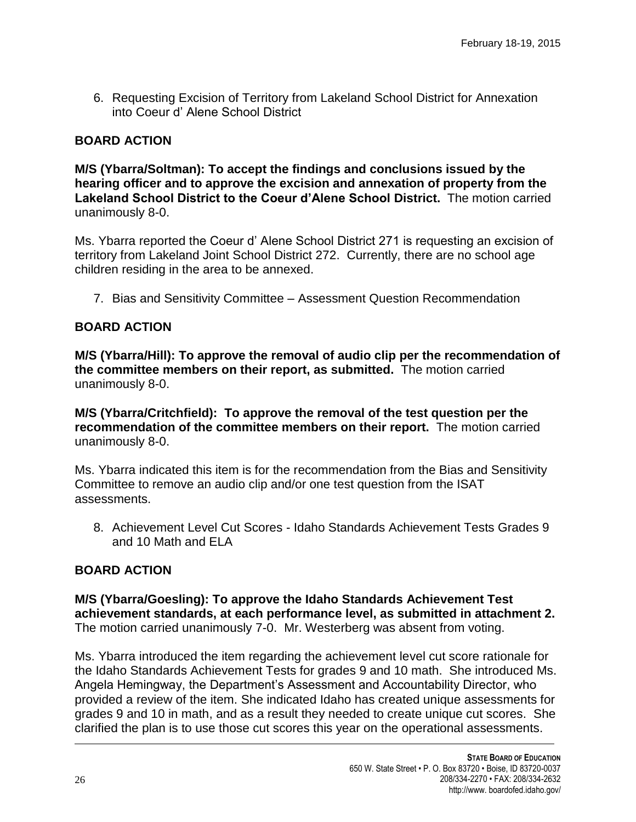6. Requesting Excision of Territory from Lakeland School District for Annexation into Coeur d' Alene School District

# **BOARD ACTION**

**M/S (Ybarra/Soltman): To accept the findings and conclusions issued by the hearing officer and to approve the excision and annexation of property from the Lakeland School District to the Coeur d'Alene School District.** The motion carried unanimously 8-0.

Ms. Ybarra reported the Coeur d' Alene School District 271 is requesting an excision of territory from Lakeland Joint School District 272. Currently, there are no school age children residing in the area to be annexed.

7. Bias and Sensitivity Committee – Assessment Question Recommendation

# **BOARD ACTION**

**M/S (Ybarra/Hill): To approve the removal of audio clip per the recommendation of the committee members on their report, as submitted.** The motion carried unanimously 8-0.

**M/S (Ybarra/Critchfield): To approve the removal of the test question per the recommendation of the committee members on their report.** The motion carried unanimously 8-0.

Ms. Ybarra indicated this item is for the recommendation from the Bias and Sensitivity Committee to remove an audio clip and/or one test question from the ISAT assessments.

8. Achievement Level Cut Scores - Idaho Standards Achievement Tests Grades 9 and 10 Math and ELA

# **BOARD ACTION**

**M/S (Ybarra/Goesling): To approve the Idaho Standards Achievement Test achievement standards, at each performance level, as submitted in attachment 2.**  The motion carried unanimously 7-0. Mr. Westerberg was absent from voting.

Ms. Ybarra introduced the item regarding the achievement level cut score rationale for the Idaho Standards Achievement Tests for grades 9 and 10 math. She introduced Ms. Angela Hemingway, the Department's Assessment and Accountability Director, who provided a review of the item. She indicated Idaho has created unique assessments for grades 9 and 10 in math, and as a result they needed to create unique cut scores. She clarified the plan is to use those cut scores this year on the operational assessments.